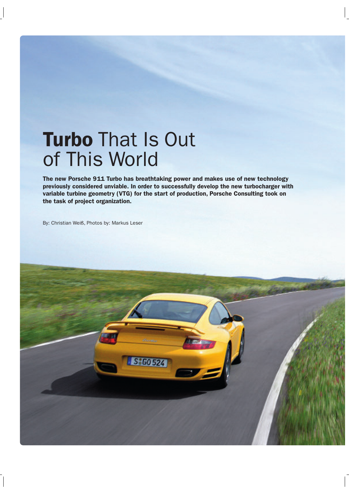## **Turbo** That Is Out of This World

**The new Porsche 911 Turbo has breathtaking power and makes use of new technology previously considered unviable. In order to successfully develop the new turbocharger with variable turbine geometry (VTG) for the start of production, Porsche Consulting took on the task of project organization.**

By: Christian Weiß, Photos by: Markus Leser

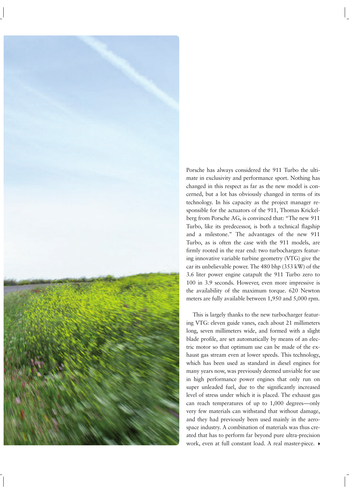

Porsche has always considered the 911 Turbo the ultimate in exclusivity and performance sport. Nothing has changed in this respect as far as the new model is concerned, but a lot has obviously changed in terms of its technology. In his capacity as the project manager responsible for the actuators of the 911, Thomas Krickelberg from Porsche AG, is convinced that: "The new 911 Turbo, like its predecessor, is both a technical flagship and a milestone." The advantages of the new 911 Turbo, as is often the case with the 911 models, are firmly rooted in the rear end: two turbochargers featuring innovative variable turbine geometry (VTG) give the car its unbelievable power. The 480 bhp (353 kW) of the 3.6 liter power engine catapult the 911 Turbo zero to 100 in 3.9 seconds. However, even more impressive is the availability of the maximum torque. 620 Newton meters are fully available between 1,950 and 5,000 rpm.

This is largely thanks to the new turbocharger featuring VTG: eleven guide vanes, each about 21 millimeters long, seven millimeters wide, and formed with a slight blade profile, are set automatically by means of an electric motor so that optimum use can be made of the exhaust gas stream even at lower speeds. This technology, which has been used as standard in diesel engines for many years now, was previously deemed unviable for use in high performance power engines that only run on super unleaded fuel, due to the significantly increased level of stress under which it is placed. The exhaust gas can reach temperatures of up to 1,000 degrees—only very few materials can withstand that without damage, and they had previously been used mainly in the aerospace industry. A combination of materials was thus created that has to perform far beyond pure ultra-precision work, even at full constant load. A real master-piece.  $\blacktriangleright$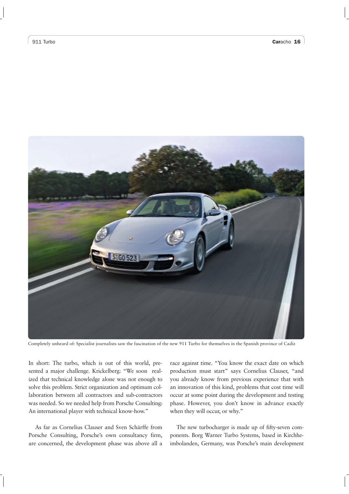

Completely unheard of: Specialist journalists saw the fascination of the new 911 Turbo for themselves in the Spanish province of Cadíz

In short: The turbo, which is out of this world, presented a major challenge. Krickelberg: "We soon realized that technical knowledge alone was not enough to solve this problem. Strict organization and optimum collaboration between all contractors and sub-contractors was needed. So we needed help from Porsche Consulting: An international player with technical know-how."

As far as Cornelius Clauser and Sven Schärffe from Porsche Consulting, Porsche's own consultancy firm, are concerned, the development phase was above all a

race against time. "You know the exact date on which production must start" says Cornelius Clauser, "and you already know from previous experience that with an innovation of this kind, problems that cost time will occur at some point during the development and testing phase. However, you don't know in advance exactly when they will occur, or why."

The new turbocharger is made up of fifty-seven components. Borg Warner Turbo Systems, based in Kirchheimbolanden, Germany, was Porsche's main development